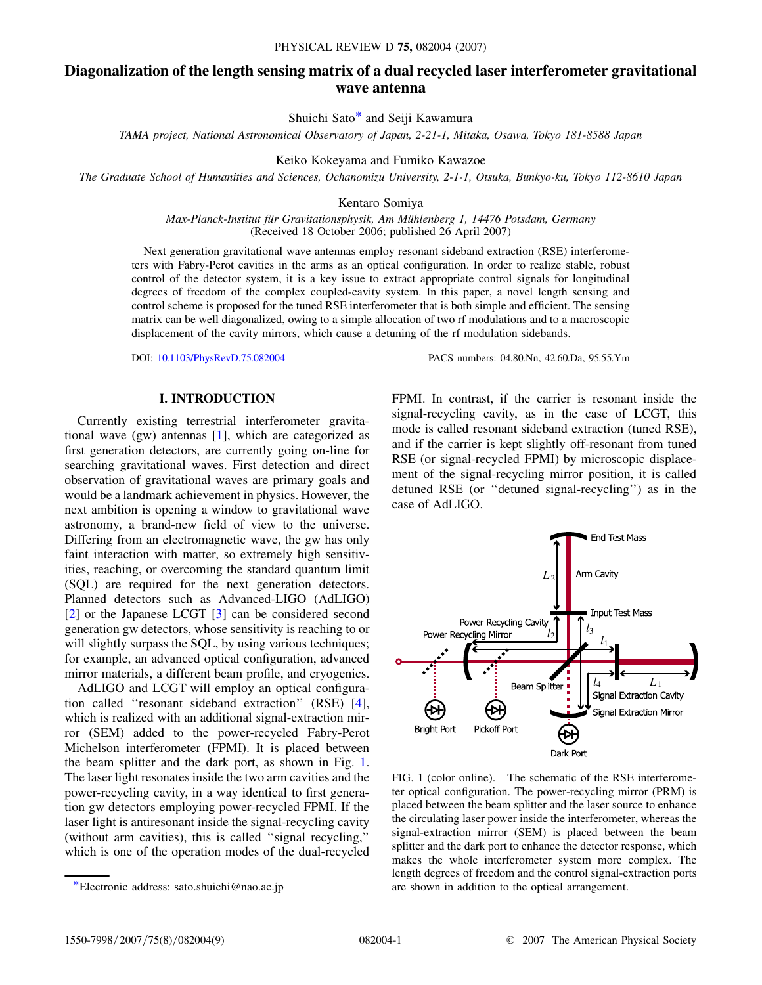## <span id="page-0-2"></span>**Diagonalization of the length sensing matrix of a dual recycled laser interferometer gravitational wave antenna**

Shuichi Sato[\\*](#page-0-0) and Seiji Kawamura

*TAMA project, National Astronomical Observatory of Japan, 2-21-1, Mitaka, Osawa, Tokyo 181-8588 Japan*

Keiko Kokeyama and Fumiko Kawazoe

*The Graduate School of Humanities and Sciences, Ochanomizu University, 2-1-1, Otsuka, Bunkyo-ku, Tokyo 112-8610 Japan*

Kentaro Somiya

*Max-Planck-Institut fu¨r Gravitationsphysik, Am Mu¨hlenberg 1, 14476 Potsdam, Germany* (Received 18 October 2006; published 26 April 2007)

Next generation gravitational wave antennas employ resonant sideband extraction (RSE) interferometers with Fabry-Perot cavities in the arms as an optical configuration. In order to realize stable, robust control of the detector system, it is a key issue to extract appropriate control signals for longitudinal degrees of freedom of the complex coupled-cavity system. In this paper, a novel length sensing and control scheme is proposed for the tuned RSE interferometer that is both simple and efficient. The sensing matrix can be well diagonalized, owing to a simple allocation of two rf modulations and to a macroscopic displacement of the cavity mirrors, which cause a detuning of the rf modulation sidebands.

DOI: [10.1103/PhysRevD.75.082004](http://dx.doi.org/10.1103/PhysRevD.75.082004) PACS numbers: 04.80.Nn, 42.60.Da, 95.55.Ym

### **I. INTRODUCTION**

Currently existing terrestrial interferometer gravitational wave (gw) antennas [[1](#page-8-0)], which are categorized as first generation detectors, are currently going on-line for searching gravitational waves. First detection and direct observation of gravitational waves are primary goals and would be a landmark achievement in physics. However, the next ambition is opening a window to gravitational wave astronomy, a brand-new field of view to the universe. Differing from an electromagnetic wave, the gw has only faint interaction with matter, so extremely high sensitivities, reaching, or overcoming the standard quantum limit (SQL) are required for the next generation detectors. Planned detectors such as Advanced-LIGO (AdLIGO) [\[2\]](#page-8-1) or the Japanese LCGT [[3\]](#page-8-2) can be considered second generation gw detectors, whose sensitivity is reaching to or will slightly surpass the SQL, by using various techniques; for example, an advanced optical configuration, advanced mirror materials, a different beam profile, and cryogenics.

AdLIGO and LCGT will employ an optical configuration called ''resonant sideband extraction'' (RSE) [[4\]](#page-8-3), which is realized with an additional signal-extraction mirror (SEM) added to the power-recycled Fabry-Perot Michelson interferometer (FPMI). It is placed between the beam splitter and the dark port, as shown in Fig. [1](#page-0-1). The laser light resonates inside the two arm cavities and the power-recycling cavity, in a way identical to first generation gw detectors employing power-recycled FPMI. If the laser light is antiresonant inside the signal-recycling cavity (without arm cavities), this is called ''signal recycling,'' which is one of the operation modes of the dual-recycled FPMI. In contrast, if the carrier is resonant inside the signal-recycling cavity, as in the case of LCGT, this mode is called resonant sideband extraction (tuned RSE), and if the carrier is kept slightly off-resonant from tuned RSE (or signal-recycled FPMI) by microscopic displacement of the signal-recycling mirror position, it is called detuned RSE (or ''detuned signal-recycling'') as in the case of AdLIGO.

<span id="page-0-1"></span>

FIG. 1 (color online). The schematic of the RSE interferometer optical configuration. The power-recycling mirror (PRM) is placed between the beam splitter and the laser source to enhance the circulating laser power inside the interferometer, whereas the signal-extraction mirror (SEM) is placed between the beam splitter and the dark port to enhance the detector response, which makes the whole interferometer system more complex. The length degrees of freedom and the control signal-extraction ports [\\*E](#page-0-2)lectronic address: sato.shuichi@nao.ac.jp are shown in addition to the optical arrangement.

<span id="page-0-0"></span>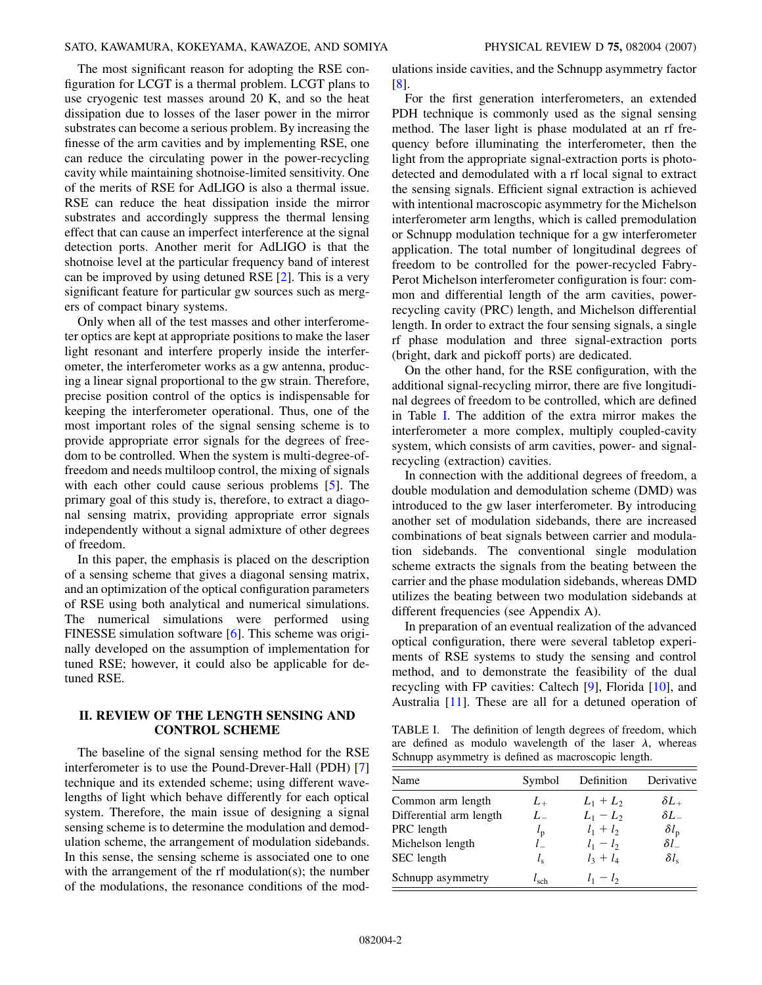#### SATO, KAWAMURA, KOKEYAMA, KAWAZOE, AND SOMIYA PHYSICAL REVIEW D **75,** 082004 (2007)

The most significant reason for adopting the RSE configuration for LCGT is a thermal problem. LCGT plans to use cryogenic test masses around 20 K, and so the heat dissipation due to losses of the laser power in the mirror substrates can become a serious problem. By increasing the finesse of the arm cavities and by implementing RSE, one can reduce the circulating power in the power-recycling cavity while maintaining shotnoise-limited sensitivity. One of the merits of RSE for AdLIGO is also a thermal issue. RSE can reduce the heat dissipation inside the mirror substrates and accordingly suppress the thermal lensing effect that can cause an imperfect interference at the signal detection ports. Another merit for AdLIGO is that the shotnoise level at the particular frequency band of interest can be improved by using detuned RSE [[2\]](#page-8-1). This is a very significant feature for particular gw sources such as mergers of compact binary systems.

Only when all of the test masses and other interferometer optics are kept at appropriate positions to make the laser light resonant and interfere properly inside the interferometer, the interferometer works as a gw antenna, producing a linear signal proportional to the gw strain. Therefore, precise position control of the optics is indispensable for keeping the interferometer operational. Thus, one of the most important roles of the signal sensing scheme is to provide appropriate error signals for the degrees of freedom to be controlled. When the system is multi-degree-offreedom and needs multiloop control, the mixing of signals with each other could cause serious problems [\[5\]](#page-8-4). The primary goal of this study is, therefore, to extract a diagonal sensing matrix, providing appropriate error signals independently without a signal admixture of other degrees of freedom.

In this paper, the emphasis is placed on the description of a sensing scheme that gives a diagonal sensing matrix, and an optimization of the optical configuration parameters of RSE using both analytical and numerical simulations. The numerical simulations were performed using FINESSE simulation software [\[6](#page-8-5)]. This scheme was originally developed on the assumption of implementation for tuned RSE; however, it could also be applicable for detuned RSE.

### **II. REVIEW OF THE LENGTH SENSING AND CONTROL SCHEME**

The baseline of the signal sensing method for the RSE interferometer is to use the Pound-Drever-Hall (PDH) [\[7\]](#page-8-6) technique and its extended scheme; using different wavelengths of light which behave differently for each optical system. Therefore, the main issue of designing a signal sensing scheme is to determine the modulation and demodulation scheme, the arrangement of modulation sidebands. In this sense, the sensing scheme is associated one to one with the arrangement of the rf modulation(s); the number of the modulations, the resonance conditions of the modulations inside cavities, and the Schnupp asymmetry factor [\[8\]](#page-8-7).

For the first generation interferometers, an extended PDH technique is commonly used as the signal sensing method. The laser light is phase modulated at an rf frequency before illuminating the interferometer, then the light from the appropriate signal-extraction ports is photodetected and demodulated with a rf local signal to extract the sensing signals. Efficient signal extraction is achieved with intentional macroscopic asymmetry for the Michelson interferometer arm lengths, which is called premodulation or Schnupp modulation technique for a gw interferometer application. The total number of longitudinal degrees of freedom to be controlled for the power-recycled Fabry-Perot Michelson interferometer configuration is four: common and differential length of the arm cavities, powerrecycling cavity (PRC) length, and Michelson differential length. In order to extract the four sensing signals, a single rf phase modulation and three signal-extraction ports (bright, dark and pickoff ports) are dedicated.

On the other hand, for the RSE configuration, with the additional signal-recycling mirror, there are five longitudinal degrees of freedom to be controlled, which are defined in Table I. The addition of the extra mirror makes the interferometer a more complex, multiply coupled-cavity system, which consists of arm cavities, power- and signalrecycling (extraction) cavities.

In connection with the additional degrees of freedom, a double modulation and demodulation scheme (DMD) was introduced to the gw laser interferometer. By introducing another set of modulation sidebands, there are increased combinations of beat signals between carrier and modulation sidebands. The conventional single modulation scheme extracts the signals from the beating between the carrier and the phase modulation sidebands, whereas DMD utilizes the beating between two modulation sidebands at different frequencies (see Appendix A).

In preparation of an eventual realization of the advanced optical configuration, there were several tabletop experiments of RSE systems to study the sensing and control method, and to demonstrate the feasibility of the dual recycling with FP cavities: Caltech [[9\]](#page-8-8), Florida [[10](#page-8-9)], and Australia [\[11\]](#page-8-10). These are all for a detuned operation of

TABLE I. The definition of length degrees of freedom, which are defined as modulo wavelength of the laser  $\lambda$ , whereas Schnupp asymmetry is defined as macroscopic length.

| Name                    | Symbol        | Definition  | Derivative         |
|-------------------------|---------------|-------------|--------------------|
| Common arm length       | $L_{+}$       | $L_1 + L_2$ | $\delta L_{+}$     |
| Differential arm length | $L_{-}$       | $L_1 - L_2$ | $\delta L$         |
| PRC length              | $l_{\rm p}$   | $l_1 + l_2$ | $\delta l_{\rm p}$ |
| Michelson length        | L             | $l_1 - l_2$ | $\delta l$         |
| SEC length              | $l_{\rm s}$   | $l_3 + l_4$ | $\delta l_{\rm s}$ |
| Schnupp asymmetry       | $l_{\rm sch}$ | $l_1 - l_2$ |                    |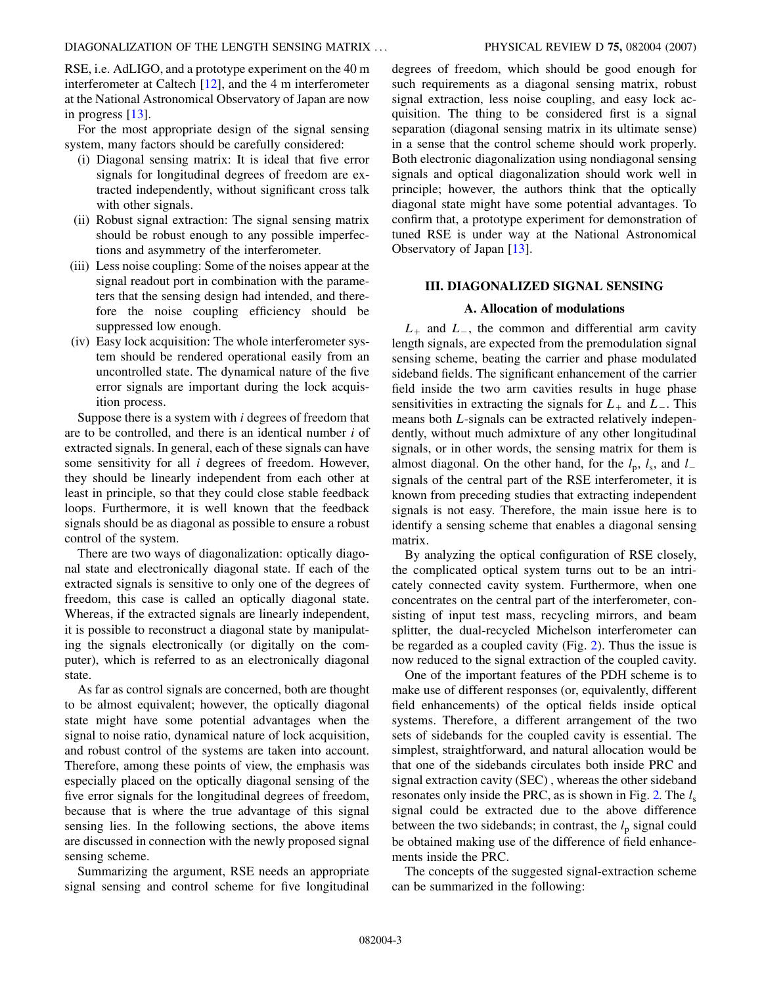RSE, i.e. AdLIGO, and a prototype experiment on the 40 m interferometer at Caltech [\[12\]](#page-8-11), and the 4 m interferometer at the National Astronomical Observatory of Japan are now in progress [\[13](#page-8-12)].

For the most appropriate design of the signal sensing system, many factors should be carefully considered:

- (i) Diagonal sensing matrix: It is ideal that five error signals for longitudinal degrees of freedom are extracted independently, without significant cross talk with other signals.
- (ii) Robust signal extraction: The signal sensing matrix should be robust enough to any possible imperfections and asymmetry of the interferometer.
- (iii) Less noise coupling: Some of the noises appear at the signal readout port in combination with the parameters that the sensing design had intended, and therefore the noise coupling efficiency should be suppressed low enough.
- (iv) Easy lock acquisition: The whole interferometer system should be rendered operational easily from an uncontrolled state. The dynamical nature of the five error signals are important during the lock acquisition process.

Suppose there is a system with *i* degrees of freedom that are to be controlled, and there is an identical number *i* of extracted signals. In general, each of these signals can have some sensitivity for all *i* degrees of freedom. However, they should be linearly independent from each other at least in principle, so that they could close stable feedback loops. Furthermore, it is well known that the feedback signals should be as diagonal as possible to ensure a robust control of the system.

There are two ways of diagonalization: optically diagonal state and electronically diagonal state. If each of the extracted signals is sensitive to only one of the degrees of freedom, this case is called an optically diagonal state. Whereas, if the extracted signals are linearly independent, it is possible to reconstruct a diagonal state by manipulating the signals electronically (or digitally on the computer), which is referred to as an electronically diagonal state.

As far as control signals are concerned, both are thought to be almost equivalent; however, the optically diagonal state might have some potential advantages when the signal to noise ratio, dynamical nature of lock acquisition, and robust control of the systems are taken into account. Therefore, among these points of view, the emphasis was especially placed on the optically diagonal sensing of the five error signals for the longitudinal degrees of freedom, because that is where the true advantage of this signal sensing lies. In the following sections, the above items are discussed in connection with the newly proposed signal sensing scheme.

Summarizing the argument, RSE needs an appropriate signal sensing and control scheme for five longitudinal degrees of freedom, which should be good enough for such requirements as a diagonal sensing matrix, robust signal extraction, less noise coupling, and easy lock acquisition. The thing to be considered first is a signal separation (diagonal sensing matrix in its ultimate sense) in a sense that the control scheme should work properly. Both electronic diagonalization using nondiagonal sensing signals and optical diagonalization should work well in principle; however, the authors think that the optically diagonal state might have some potential advantages. To confirm that, a prototype experiment for demonstration of tuned RSE is under way at the National Astronomical Observatory of Japan [[13](#page-8-12)].

## **III. DIAGONALIZED SIGNAL SENSING**

### **A. Allocation of modulations**

 $L_{+}$  and  $L_{-}$ , the common and differential arm cavity length signals, are expected from the premodulation signal sensing scheme, beating the carrier and phase modulated sideband fields. The significant enhancement of the carrier field inside the two arm cavities results in huge phase sensitivities in extracting the signals for  $L_+$  and  $L_-$ . This means both *L*-signals can be extracted relatively independently, without much admixture of any other longitudinal signals, or in other words, the sensing matrix for them is almost diagonal. On the other hand, for the  $l_p$ ,  $l_s$ , and  $l_a$ signals of the central part of the RSE interferometer, it is known from preceding studies that extracting independent signals is not easy. Therefore, the main issue here is to identify a sensing scheme that enables a diagonal sensing matrix.

By analyzing the optical configuration of RSE closely, the complicated optical system turns out to be an intricately connected cavity system. Furthermore, when one concentrates on the central part of the interferometer, consisting of input test mass, recycling mirrors, and beam splitter, the dual-recycled Michelson interferometer can be regarded as a coupled cavity (Fig. [2](#page-3-0)). Thus the issue is now reduced to the signal extraction of the coupled cavity.

One of the important features of the PDH scheme is to make use of different responses (or, equivalently, different field enhancements) of the optical fields inside optical systems. Therefore, a different arrangement of the two sets of sidebands for the coupled cavity is essential. The simplest, straightforward, and natural allocation would be that one of the sidebands circulates both inside PRC and signal extraction cavity (SEC) , whereas the other sideband resonates only inside the PRC, as is shown in Fig. [2.](#page-3-0) The  $l_s$ signal could be extracted due to the above difference between the two sidebands; in contrast, the  $l_p$  signal could be obtained making use of the difference of field enhancements inside the PRC.

The concepts of the suggested signal-extraction scheme can be summarized in the following: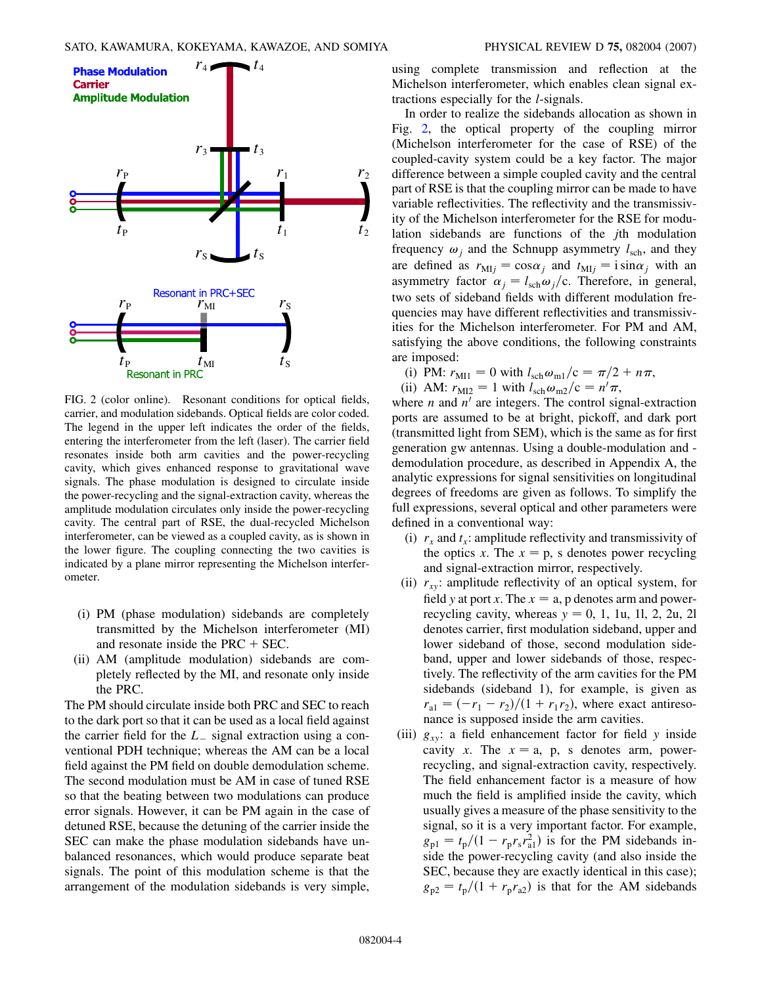<span id="page-3-0"></span>

FIG. 2 (color online). Resonant conditions for optical fields, carrier, and modulation sidebands. Optical fields are color coded. The legend in the upper left indicates the order of the fields, entering the interferometer from the left (laser). The carrier field resonates inside both arm cavities and the power-recycling cavity, which gives enhanced response to gravitational wave signals. The phase modulation is designed to circulate inside the power-recycling and the signal-extraction cavity, whereas the amplitude modulation circulates only inside the power-recycling cavity. The central part of RSE, the dual-recycled Michelson interferometer, can be viewed as a coupled cavity, as is shown in the lower figure. The coupling connecting the two cavities is indicated by a plane mirror representing the Michelson interferometer.

- (i) PM (phase modulation) sidebands are completely transmitted by the Michelson interferometer (MI) and resonate inside the PRC  $+$  SEC.
- (ii) AM (amplitude modulation) sidebands are completely reflected by the MI, and resonate only inside the PRC.

The PM should circulate inside both PRC and SEC to reach to the dark port so that it can be used as a local field against the carrier field for the  $L_{-}$  signal extraction using a conventional PDH technique; whereas the AM can be a local field against the PM field on double demodulation scheme. The second modulation must be AM in case of tuned RSE so that the beating between two modulations can produce error signals. However, it can be PM again in the case of detuned RSE, because the detuning of the carrier inside the SEC can make the phase modulation sidebands have unbalanced resonances, which would produce separate beat signals. The point of this modulation scheme is that the arrangement of the modulation sidebands is very simple, using complete transmission and reflection at the Michelson interferometer, which enables clean signal extractions especially for the *l*-signals.

In order to realize the sidebands allocation as shown in Fig. [2](#page-3-0), the optical property of the coupling mirror (Michelson interferometer for the case of RSE) of the coupled-cavity system could be a key factor. The major difference between a simple coupled cavity and the central part of RSE is that the coupling mirror can be made to have variable reflectivities. The reflectivity and the transmissivity of the Michelson interferometer for the RSE for modulation sidebands are functions of the *j*th modulation frequency  $\omega_i$  and the Schnupp asymmetry  $l_{\text{sch}}$ , and they are defined as  $r_{\text{MI}j} = \cos \alpha_j$  and  $t_{\text{MI}j} = i \sin \alpha_j$  with an asymmetry factor  $\alpha_i = l_{\rm sch} \omega_i/c$ . Therefore, in general, two sets of sideband fields with different modulation frequencies may have different reflectivities and transmissivities for the Michelson interferometer. For PM and AM, satisfying the above conditions, the following constraints are imposed:

- (i) PM:  $r_{\text{MII}} = 0$  with  $l_{\text{sch}} \omega_{\text{m1}}/c = \pi/2 + n\pi$ ,
- (ii) AM:  $r_{\text{M12}} = 1$  with  $l_{\text{sch}} \omega_{\text{m2}}/c = n' \pi$ ,

where  $n$  and  $n<sup>1</sup>$  are integers. The control signal-extraction ports are assumed to be at bright, pickoff, and dark port (transmitted light from SEM), which is the same as for first generation gw antennas. Using a double-modulation and demodulation procedure, as described in Appendix A, the analytic expressions for signal sensitivities on longitudinal degrees of freedoms are given as follows. To simplify the full expressions, several optical and other parameters were defined in a conventional way:

- (i)  $r_x$  and  $t_x$ : amplitude reflectivity and transmissivity of the optics *x*. The  $x = p$ , s denotes power recycling and signal-extraction mirror, respectively.
- (ii)  $r_{xy}$ : amplitude reflectivity of an optical system, for field *y* at port *x*. The  $x = a$ , p denotes arm and powerrecycling cavity, whereas  $y = 0$ , 1, 1u, 1l, 2, 2u, 2l denotes carrier, first modulation sideband, upper and lower sideband of those, second modulation sideband, upper and lower sidebands of those, respectively. The reflectivity of the arm cavities for the PM sidebands (sideband 1), for example, is given as  $r_{\rm al} = \frac{-r_1 - r_2}{(1 + r_1 r_2)}$ , where exact antiresonance is supposed inside the arm cavities.
- (iii)  $g_{xy}$ : a field enhancement factor for field *y* inside cavity *x*. The  $x = a$ , p, s denotes arm, powerrecycling, and signal-extraction cavity, respectively. The field enhancement factor is a measure of how much the field is amplified inside the cavity, which usually gives a measure of the phase sensitivity to the signal, so it is a very important factor. For example,  $g_{\text{p1}} = t_{\text{p}}/(1 - r_{\text{p}} r_{\text{s}} r_{\text{a1}}^2)$  is for the PM sidebands inside the power-recycling cavity (and also inside the SEC, because they are exactly identical in this case);  $g_{p2} = t_p/(1 + r_p r_{a2})$  is that for the AM sidebands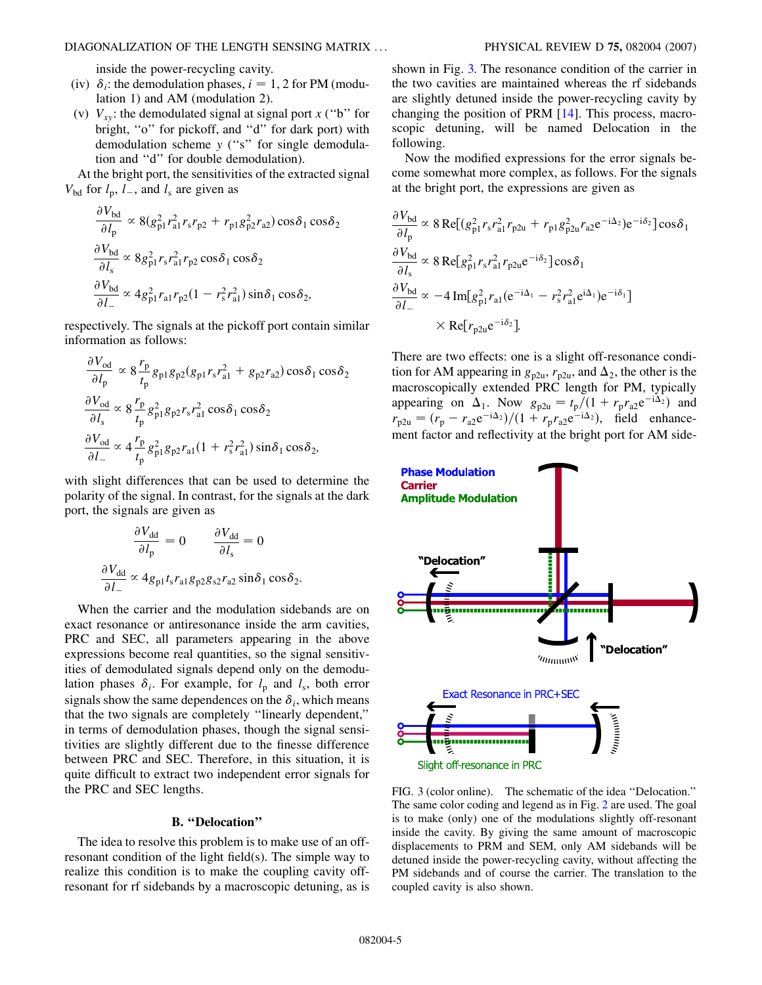inside the power-recycling cavity.

- (iv)  $\delta_i$ : the demodulation phases,  $i = 1, 2$  for PM (modulation 1) and AM (modulation 2).
- (v)  $V_{xy}$ : the demodulated signal at signal port *x* ("b" for bright, "o" for pickoff, and "d" for dark port) with demodulation scheme *y* (''s'' for single demodulation and ''d'' for double demodulation).

At the bright port, the sensitivities of the extracted signal  $V_{\text{bd}}$  for  $l_{\text{p}}$ ,  $l_{-}$ , and  $l_{\text{s}}$  are given as

$$
\frac{\partial V_{\text{bd}}}{\partial l_{\text{p}}} \propto 8(g_{\text{p1}}^2 r_{\text{a1}}^2 r_{\text{s}} r_{\text{p2}} + r_{\text{p1}} g_{\text{p2}}^2 r_{\text{a2}}) \cos \delta_1 \cos \delta_2
$$
  

$$
\frac{\partial V_{\text{bd}}}{\partial l_{\text{s}}} \propto 8 g_{\text{p1}}^2 r_{\text{s}} r_{\text{a1}}^2 r_{\text{p2}} \cos \delta_1 \cos \delta_2
$$
  

$$
\frac{\partial V_{\text{bd}}}{\partial l_{-}} \propto 4 g_{\text{p1}}^2 r_{\text{a1}} r_{\text{p2}} (1 - r_{\text{s}}^2 r_{\text{a1}}^2) \sin \delta_1 \cos \delta_2,
$$

respectively. The signals at the pickoff port contain similar information as follows:

*@V*od

$$
\frac{\partial V_{\text{od}}}{\partial l_{\text{p}}} \propto 8 \frac{r_{\text{p}}}{t_{\text{p}}} g_{\text{p1}} g_{\text{p2}} (g_{\text{p1}} r_{\text{s}} r_{\text{a1}}^2 + g_{\text{p2}} r_{\text{a2}}) \cos \delta_1 \cos \delta_2
$$
  

$$
\frac{\partial V_{\text{od}}}{\partial l_{\text{s}}} \propto 8 \frac{r_{\text{p}}}{t_{\text{p}}} g_{\text{p1}}^2 g_{\text{p2}} r_{\text{s}} r_{\text{a1}}^2 \cos \delta_1 \cos \delta_2
$$
  

$$
\frac{\partial V_{\text{od}}}{\partial l_{-}} \propto 4 \frac{r_{\text{p}}}{t_{\text{p}}} g_{\text{p1}}^2 g_{\text{p2}} r_{\text{a1}} (1 + r_{\text{s}}^2 r_{\text{a1}}^2) \sin \delta_1 \cos \delta_2,
$$

with slight differences that can be used to determine the polarity of the signal. In contrast, for the signals at the dark port, the signals are given as

$$
\frac{\partial V_{\rm dd}}{\partial l_{\rm p}} = 0 \qquad \frac{\partial V_{\rm dd}}{\partial l_{\rm s}} = 0
$$

$$
\frac{\partial V_{\rm dd}}{\partial l_{\rm -}} \propto 4g_{\rm pl}t_{\rm s}r_{\rm al}g_{\rm p2}g_{\rm s2}r_{\rm a2}\sin\delta_1\cos\delta_2.
$$

When the carrier and the modulation sidebands are on exact resonance or antiresonance inside the arm cavities, PRC and SEC, all parameters appearing in the above expressions become real quantities, so the signal sensitivities of demodulated signals depend only on the demodulation phases  $\delta_i$ . For example, for  $l_p$  and  $l_s$ , both error signals show the same dependences on the  $\delta_i$ , which means that the two signals are completely ''linearly dependent,'' in terms of demodulation phases, though the signal sensitivities are slightly different due to the finesse difference between PRC and SEC. Therefore, in this situation, it is quite difficult to extract two independent error signals for the PRC and SEC lengths.

### **B. ''Delocation''**

The idea to resolve this problem is to make use of an offresonant condition of the light field(s). The simple way to realize this condition is to make the coupling cavity offresonant for rf sidebands by a macroscopic detuning, as is shown in Fig. [3.](#page-4-0) The resonance condition of the carrier in the two cavities are maintained whereas the rf sidebands are slightly detuned inside the power-recycling cavity by changing the position of PRM [\[14\]](#page-8-13). This process, macroscopic detuning, will be named Delocation in the following.

Now the modified expressions for the error signals become somewhat more complex, as follows. For the signals at the bright port, the expressions are given as

$$
\frac{\partial V_{bd}}{\partial l_p} \propto 8 \text{Re}[(g_{p1}^2 r_s r_{a1}^2 r_{p2u} + r_{p1} g_{p2u}^2 r_{a2} e^{-i\Delta_2}) e^{-i\delta_2}] \cos \delta_1
$$
  
\n
$$
\frac{\partial V_{bd}}{\partial l_s} \propto 8 \text{Re}[g_{p1}^2 r_s r_{a1}^2 r_{p2u} e^{-i\delta_2}] \cos \delta_1
$$
  
\n
$$
\frac{\partial V_{bd}}{\partial l_-} \propto -4 \text{Im}[g_{p1}^2 r_{a1} (e^{-i\Delta_1} - r_s^2 r_{a1}^2 e^{i\Delta_1}) e^{-i\delta_1}]
$$
  
\n
$$
\times \text{Re}[r_{p2u} e^{-i\delta_2}].
$$

There are two effects: one is a slight off-resonance condition for AM appearing in  $g_{p2u}$ ,  $r_{p2u}$ , and  $\Delta_2$ , the other is the macroscopically extended PRC length for PM, typically appearing on  $\Delta_1$ . Now  $g_{p2u} = t_p/(1 + r_p r_{a2}e^{-i\Delta_2})$  and  $r_{p2u} = (r_p - r_{a2}e^{-i\Delta_2})/(1 + r_p r_{a2}e^{-i\Delta_2})$ , field enhancement factor and reflectivity at the bright port for AM side-

<span id="page-4-0"></span>

FIG. 3 (color online). The schematic of the idea ''Delocation.'' The same color coding and legend as in Fig. [2](#page-3-0) are used. The goal is to make (only) one of the modulations slightly off-resonant inside the cavity. By giving the same amount of macroscopic displacements to PRM and SEM, only AM sidebands will be detuned inside the power-recycling cavity, without affecting the PM sidebands and of course the carrier. The translation to the coupled cavity is also shown.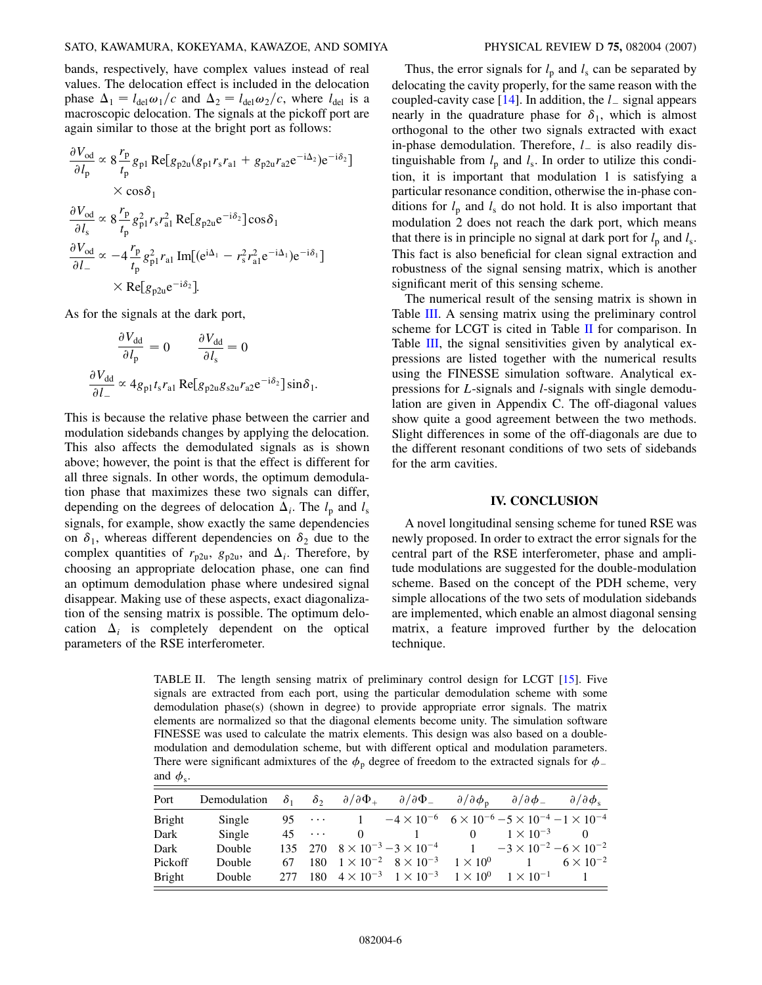bands, respectively, have complex values instead of real values. The delocation effect is included in the delocation phase  $\Delta_1 = l_{\text{del}} \omega_1/c$  and  $\Delta_2 = l_{\text{del}} \omega_2/c$ , where  $l_{\text{del}}$  is a macroscopic delocation. The signals at the pickoff port are again similar to those at the bright port as follows:

$$
\frac{\partial V_{\text{od}}}{\partial l_{\text{p}}} \propto 8 \frac{r_{\text{p}}}{t_{\text{p}}} g_{\text{p1}} \text{Re}[g_{\text{p2u}}(g_{\text{p1}} r_{\text{s}} r_{\text{a1}} + g_{\text{p2u}} r_{\text{a2}} e^{-i\Delta_{2}}) e^{-i\delta_{2}}]
$$
\n
$$
\times \cos \delta_{1}
$$
\n
$$
\frac{\partial V_{\text{od}}}{\partial l_{\text{s}}} \propto 8 \frac{r_{\text{p}}}{t_{\text{p}}} g_{\text{p1}}^{2} r_{\text{s}} r_{\text{a1}}^{2} \text{ Re}[g_{\text{p2u}} e^{-i\delta_{2}}] \cos \delta_{1}
$$
\n
$$
\frac{\partial V_{\text{od}}}{\partial l_{-}} \propto -4 \frac{r_{\text{p}}}{t_{\text{p}}} g_{\text{p1}}^{2} r_{\text{a1}} \text{ Im}[(e^{i\Delta_{1}} - r_{\text{s}}^{2} r_{\text{a1}}^{2} e^{-i\Delta_{1}}) e^{-i\delta_{1}}]
$$
\n
$$
\times \text{Re}[g_{\text{p2u}} e^{-i\delta_{2}}].
$$

As for the signals at the dark port,

$$
\frac{\partial V_{\text{dd}}}{\partial l_{\text{p}}} = 0 \qquad \frac{\partial V_{\text{dd}}}{\partial l_{\text{s}}} = 0
$$

$$
\frac{\partial V_{\text{dd}}}{\partial l_{-}} \propto 4g_{\text{p1}}t_{\text{s}}r_{\text{a1}} \text{ Re}[g_{\text{p2u}}g_{\text{s2u}}r_{\text{a2}}e^{-i\delta_{2}}] \sin \delta_{1}.
$$

This is because the relative phase between the carrier and modulation sidebands changes by applying the delocation. This also affects the demodulated signals as is shown above; however, the point is that the effect is different for all three signals. In other words, the optimum demodulation phase that maximizes these two signals can differ, depending on the degrees of delocation  $\Delta_i$ . The  $l_p$  and  $l_s$ signals, for example, show exactly the same dependencies on  $\delta_1$ , whereas different dependencies on  $\delta_2$  due to the complex quantities of  $r_{p2u}$ ,  $g_{p2u}$ , and  $\Delta_i$ . Therefore, by choosing an appropriate delocation phase, one can find an optimum demodulation phase where undesired signal disappear. Making use of these aspects, exact diagonalization of the sensing matrix is possible. The optimum delocation  $\Delta_i$  is completely dependent on the optical parameters of the RSE interferometer.

Thus, the error signals for  $l_p$  and  $l_s$  can be separated by delocating the cavity properly, for the same reason with the coupled-cavity case [[14](#page-8-13)]. In addition, the *l*- signal appears nearly in the quadrature phase for  $\delta_1$ , which is almost orthogonal to the other two signals extracted with exact in-phase demodulation. Therefore,  $l_{-}$  is also readily distinguishable from  $l_p$  and  $l_s$ . In order to utilize this condition, it is important that modulation 1 is satisfying a particular resonance condition, otherwise the in-phase conditions for  $l_p$  and  $l_s$  do not hold. It is also important that modulation 2 does not reach the dark port, which means that there is in principle no signal at dark port for  $l_p$  and  $l_s$ . This fact is also beneficial for clean signal extraction and robustness of the signal sensing matrix, which is another significant merit of this sensing scheme.

The numerical result of the sensing matrix is shown in Table III. A sensing matrix using the preliminary control scheme for LCGT is cited in Table II for comparison. In Table III, the signal sensitivities given by analytical expressions are listed together with the numerical results using the FINESSE simulation software. Analytical expressions for *L*-signals and *l*-signals with single demodulation are given in Appendix C. The off-diagonal values show quite a good agreement between the two methods. Slight differences in some of the off-diagonals are due to the different resonant conditions of two sets of sidebands for the arm cavities.

#### **IV. CONCLUSION**

A novel longitudinal sensing scheme for tuned RSE was newly proposed. In order to extract the error signals for the central part of the RSE interferometer, phase and amplitude modulations are suggested for the double-modulation scheme. Based on the concept of the PDH scheme, very simple allocations of the two sets of modulation sidebands are implemented, which enable an almost diagonal sensing matrix, a feature improved further by the delocation technique.

TABLE II. The length sensing matrix of preliminary control design for LCGT [\[15\]](#page-8-14). Five signals are extracted from each port, using the particular demodulation scheme with some demodulation phase(s) (shown in degree) to provide appropriate error signals. The matrix elements are normalized so that the diagonal elements become unity. The simulation software FINESSE was used to calculate the matrix elements. This design was also based on a doublemodulation and demodulation scheme, but with different optical and modulation parameters. There were significant admixtures of the  $\phi_p$  degree of freedom to the extracted signals for  $\phi$ and  $\phi_s$ .

| Port          | Demodulation | $\delta_1$ | $\delta$    | $\partial/\partial\Phi_+$ | $\partial/\partial\Phi_{-}$                                                        | $\partial/\partial \phi_{\rm n}$ | $\partial/\partial \phi_-$                                                             | $\partial/\partial \phi_{s}$ |
|---------------|--------------|------------|-------------|---------------------------|------------------------------------------------------------------------------------|----------------------------------|----------------------------------------------------------------------------------------|------------------------------|
| <b>Bright</b> | Single       |            | $95 \cdots$ |                           |                                                                                    |                                  | $-4 \times 10^{-6}$ 6 × 10 <sup>-6</sup> - 5 × 10 <sup>-4</sup> - 1 × 10 <sup>-4</sup> |                              |
| Dark          | Single       | 45         | $\cdots$    | 0                         | $\sim$ 1.0 $\sim$ 0.0 $\sim$                                                       |                                  | 0 $1 \times 10^{-3}$                                                                   | $\Omega$                     |
| Dark          | Double       |            |             |                           |                                                                                    |                                  | 135 270 $8 \times 10^{-3} - 3 \times 10^{-4}$ 1 $-3 \times 10^{-2} - 6 \times 10^{-2}$ |                              |
| Pickoff       | Double       |            |             |                           | 67 180 $1 \times 10^{-2}$ $8 \times 10^{-3}$                                       | $1 \times 10^{0}$                |                                                                                        | 1 $6 \times 10^{-2}$         |
| <b>Bright</b> | Double       |            |             |                           | 277 180 $4 \times 10^{-3}$ $1 \times 10^{-3}$ $1 \times 10^{0}$ $1 \times 10^{-1}$ |                                  |                                                                                        |                              |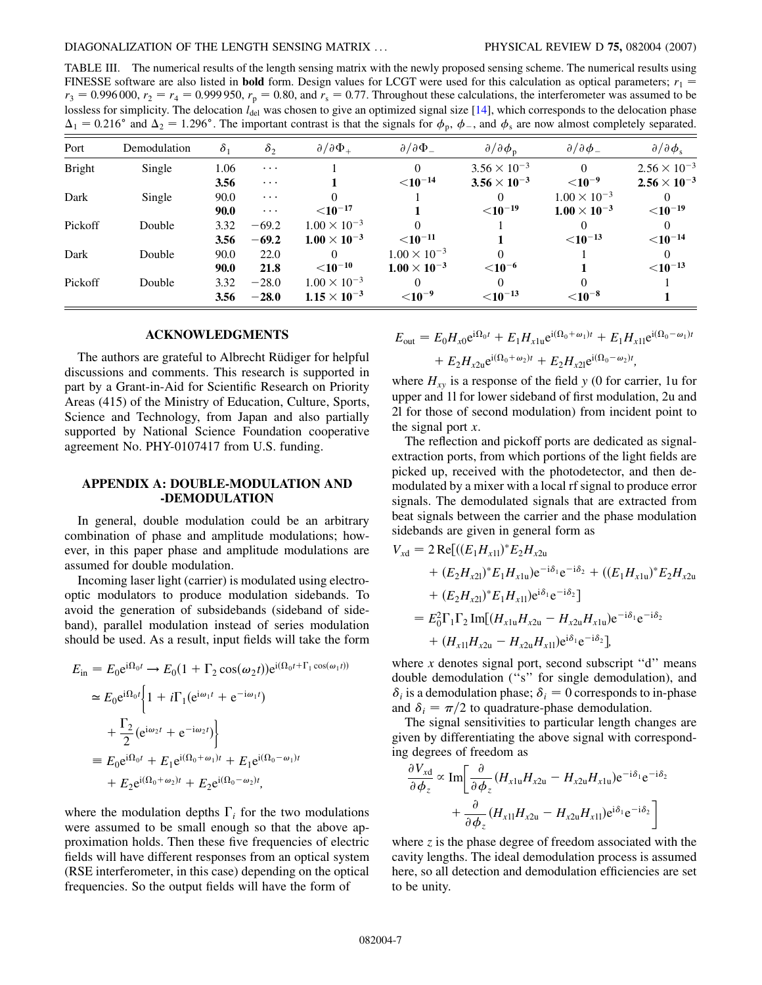TABLE III. The numerical results of the length sensing matrix with the newly proposed sensing scheme. The numerical results using FINESSE software are also listed in **bold** form. Design values for LCGT were used for this calculation as optical parameters;  $r_1$  $r_3 = 0.996\,000$ ,  $r_2 = r_4 = 0.999\,950$ ,  $r_p = 0.80$ , and  $r_s = 0.77$ . Throughout these calculations, the interferometer was assumed to be lossless for simplicity. The delocation *l*<sub>del</sub> was chosen to give an optimized signal size [\[14\]](#page-8-13), which corresponds to the delocation phase  $\Delta_1 = 0.216$ ° and  $\Delta_2 = 1.296$ °. The important contrast is that the signals for  $\phi_p$ ,  $\phi_\text{-}$ , and  $\phi_s$  are now almost completely separated.

| Port          | Demodulation | $\delta_1$ | $\delta_2$ | $\partial/\partial \Phi_+$ | $\partial/\partial\Phi_{-}$ | $\partial/\partial \phi_{\rm p}$ | $\partial/\partial \phi_-$ | $\partial/\partial \phi_{\rm s}$ |
|---------------|--------------|------------|------------|----------------------------|-----------------------------|----------------------------------|----------------------------|----------------------------------|
| <b>Bright</b> | Single       | 1.06       | $\cdots$   |                            | $\Omega$                    | $3.56 \times 10^{-3}$            |                            | $2.56 \times 10^{-3}$            |
|               |              | 3.56       | $\cdots$   |                            | ${<}10^{-14}$               | $3.56 \times 10^{-3}$            | ${<}10^{-9}$               | $2.56 \times 10^{-3}$            |
| Dark          | Single       | 90.0       | $\cdots$   | $\theta$                   |                             | 0                                | $1.00 \times 10^{-3}$      | 0                                |
|               |              | 90.0       | $\cdots$   | $<$ $10^{-17}$             |                             | $<$ 10 <sup>-19</sup>            | $1.00 \times 10^{-3}$      | $<$ 10 <sup>-19</sup>            |
| Pickoff       | Double       | 3.32       | $-69.2$    | $1.00 \times 10^{-3}$      |                             |                                  |                            | $\Omega$                         |
|               |              | 3.56       | $-69.2$    | $1.00 \times 10^{-3}$      | ${<}10^{-11}$               |                                  | ${<}10^{-13}$              | ${<}10^{-14}$                    |
| Dark          | Double       | 90.0       | 22.0       |                            | $1.00 \times 10^{-3}$       | $\Omega$                         |                            | $\Omega$                         |
|               |              | 90.0       | 21.8       | ${<}10^{-10}$              | $1.00 \times 10^{-3}$       | $<$ 10 $^{-6}$                   |                            | ${<}10^{-13}$                    |
| Pickoff       | Double       | 3.32       | $-28.0$    | $1.00 \times 10^{-3}$      | 0                           | $\Omega$                         |                            |                                  |
|               |              | 3.56       | $-28.0$    | $1.15 \times 10^{-3}$      | $<$ 10 <sup>-9</sup>        | $<$ 10 <sup>-13</sup>            | $<$ 10 $^{-8}$             |                                  |

## **ACKNOWLEDGMENTS**

The authors are grateful to Albrecht Rüdiger for helpful discussions and comments. This research is supported in part by a Grant-in-Aid for Scientific Research on Priority Areas (415) of the Ministry of Education, Culture, Sports, Science and Technology, from Japan and also partially supported by National Science Foundation cooperative agreement No. PHY-0107417 from U.S. funding.

## **APPENDIX A: DOUBLE-MODULATION AND -DEMODULATION**

In general, double modulation could be an arbitrary combination of phase and amplitude modulations; however, in this paper phase and amplitude modulations are assumed for double modulation.

Incoming laser light (carrier) is modulated using electrooptic modulators to produce modulation sidebands. To avoid the generation of subsidebands (sideband of sideband), parallel modulation instead of series modulation should be used. As a result, input fields will take the form

$$
E_{\rm in} = E_0 e^{i\Omega_0 t} \rightarrow E_0 (1 + \Gamma_2 \cos(\omega_2 t)) e^{i(\Omega_0 t + \Gamma_1 \cos(\omega_1 t))}
$$
  
\n
$$
\approx E_0 e^{i\Omega_0 t} \Biggl\{ 1 + i\Gamma_1 (e^{i\omega_1 t} + e^{-i\omega_1 t})
$$
  
\n
$$
+ \frac{\Gamma_2}{2} (e^{i\omega_2 t} + e^{-i\omega_2 t}) \Biggr\}
$$
  
\n
$$
\equiv E_0 e^{i\Omega_0 t} + E_1 e^{i(\Omega_0 + \omega_1)t} + E_1 e^{i(\Omega_0 - \omega_1)t}
$$
  
\n
$$
+ E_2 e^{i(\Omega_0 + \omega_2)t} + E_2 e^{i(\Omega_0 - \omega_2)t},
$$

where the modulation depths  $\Gamma_i$  for the two modulations were assumed to be small enough so that the above approximation holds. Then these five frequencies of electric fields will have different responses from an optical system (RSE interferometer, in this case) depending on the optical frequencies. So the output fields will have the form of

$$
E_{\text{out}} = E_0 H_{x0} e^{i\Omega_0 t} + E_1 H_{x1u} e^{i(\Omega_0 + \omega_1)t} + E_1 H_{x11} e^{i(\Omega_0 - \omega_1)t} + E_2 H_{x2u} e^{i(\Omega_0 + \omega_2)t} + E_2 H_{x21} e^{i(\Omega_0 - \omega_2)t},
$$

where  $H_{xy}$  is a response of the field  $y$  (0 for carrier, 1u for upper and 1l for lower sideband of first modulation, 2u and 2l for those of second modulation) from incident point to the signal port *x*.

The reflection and pickoff ports are dedicated as signalextraction ports, from which portions of the light fields are picked up, received with the photodetector, and then demodulated by a mixer with a local rf signal to produce error signals. The demodulated signals that are extracted from beat signals between the carrier and the phase modulation sidebands are given in general form as

$$
V_{xd} = 2 \operatorname{Re} [((E_1 H_{x11})^* E_2 H_{x2u}+ (E_2 H_{x21})^* E_1 H_{x1u}) e^{-i\delta_1} e^{-i\delta_2} + ((E_1 H_{x1u})^* E_2 H_{x2u}+ (E_2 H_{x21})^* E_1 H_{x11}) e^{i\delta_1} e^{-i\delta_2}]= E_0^2 \Gamma_1 \Gamma_2 \operatorname{Im} [(H_{x1u} H_{x2u} - H_{x2u} H_{x1u}) e^{-i\delta_1} e^{-i\delta_2}+ (H_{x11} H_{x2u} - H_{x2u} H_{x11}) e^{i\delta_1} e^{-i\delta_2}].
$$

where  $x$  denotes signal port, second subscript "d" means double demodulation (''s'' for single demodulation), and  $\delta_i$  is a demodulation phase;  $\delta_i = 0$  corresponds to in-phase and  $\delta_i = \pi/2$  to quadrature-phase demodulation.

The signal sensitivities to particular length changes are given by differentiating the above signal with corresponding degrees of freedom as

$$
\frac{\partial V_{xd}}{\partial \phi_z} \propto \text{Im} \bigg[ \frac{\partial}{\partial \phi_z} (H_{x1u} H_{x2u} - H_{x2u} H_{x1u}) e^{-i\delta_1} e^{-i\delta_2} + \frac{\partial}{\partial \phi_z} (H_{x11} H_{x2u} - H_{x2u} H_{x11}) e^{i\delta_1} e^{-i\delta_2} \bigg]
$$

where  $\zeta$  is the phase degree of freedom associated with the cavity lengths. The ideal demodulation process is assumed here, so all detection and demodulation efficiencies are set to be unity.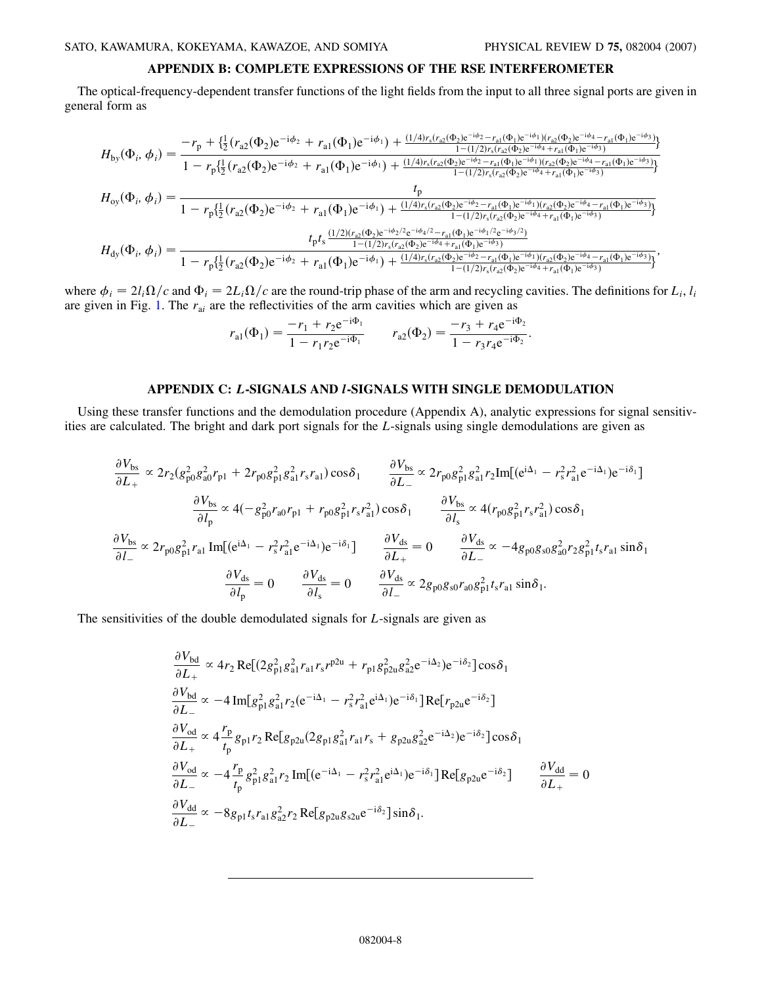# **APPENDIX B: COMPLETE EXPRESSIONS OF THE RSE INTERFEROMETER**

The optical-frequency-dependent transfer functions of the light fields from the input to all three signal ports are given in general form as

$$
H_{\text{by}}(\Phi_{i},\phi_{i}) = \frac{-r_{\text{p}} + \{\frac{1}{2}(r_{\text{a}2}(\Phi_{2})e^{-i\phi_{2}} + r_{\text{a}1}(\Phi_{1})e^{-i\phi_{1}}) + \frac{(1/4)r_{\text{s}}(r_{\text{a}2}(\Phi_{2})e^{-i\phi_{2}} - r_{\text{a}1}(\Phi_{1})e^{-i\phi_{1}})(r_{\text{a}2}(\Phi_{2})e^{-i\phi_{4}} - r_{\text{a}1}(\Phi_{1})e^{-i\phi_{3}})}{1 - (1/2)r_{\text{s}}(r_{\text{a}2}(\Phi_{2})e^{-i\phi_{4}} + r_{\text{a}1}(\Phi_{1})e^{-i\phi_{3}})\}}
$$
\n
$$
H_{\text{oy}}(\Phi_{i},\phi_{i}) = \frac{t_{\text{p}}}{1 - r_{\text{p}}\{\frac{1}{2}(r_{\text{a}2}(\Phi_{2})e^{-i\phi_{2}} + r_{\text{a}1}(\Phi_{1})e^{-i\phi_{1}}) + \frac{(1/4)r_{\text{s}}(r_{\text{a}2}(\Phi_{2})e^{-i\phi_{2}} - r_{\text{a}1}(\Phi_{1})e^{-i\phi_{1}})(r_{\text{a}2}(\Phi_{2})e^{-i\phi_{4}} - r_{\text{a}1}(\Phi_{1})e^{-i\phi_{3}})\}}{1 - (1/2)r_{\text{s}}(r_{\text{a}2}(\Phi_{2})e^{-i\phi_{4}} + r_{\text{a}1}(\Phi_{1})e^{-i\phi_{3}})\}}
$$
\n
$$
H_{\text{dy}}(\Phi_{i},\phi_{i}) = \frac{t_{\text{p}}}{1 - r_{\text{p}}\{\frac{1}{2}(r_{\text{a}2}(\Phi_{2})e^{-i\phi_{2}} + r_{\text{a}1}(\Phi_{1})e^{-i\phi_{1}}) + \frac{(1/4)r_{\text{s}}(r_{\text{a}2}(\Phi_{2})e^{-i\phi_{2}} - r_{\text{a}1}(\Phi_{1})e^{-i\phi_{1}})(r_{\text{a}2}(\Phi_{2})e^{-i\phi_{4}} - r_{\text{a}1}(\Phi_{1})e^{-i\phi_{3}})\}}{1 - (1/2)r_{\text{s}}(r_{\text{a}2}(\Phi_{2})e^{-i\
$$

where  $\phi_i = 2l_i\Omega/c$  and  $\Phi_i = 2L_i\Omega/c$  are the round-trip phase of the arm and recycling cavities. The definitions for  $L_i$ ,  $l_i$ are given in Fig. [1.](#page-0-1) The  $r_{ai}$  are the reflectivities of the arm cavities which are given as

$$
r_{a1}(\Phi_1) = \frac{-r_1 + r_2 e^{-i\Phi_1}}{1 - r_1 r_2 e^{-i\Phi_1}} \qquad r_{a2}(\Phi_2) = \frac{-r_3 + r_4 e^{-i\Phi_2}}{1 - r_3 r_4 e^{-i\Phi_2}}.
$$

## **APPENDIX C:** *L***-SIGNALS AND** *l***-SIGNALS WITH SINGLE DEMODULATION**

Using these transfer functions and the demodulation procedure (Appendix A), analytic expressions for signal sensitivities are calculated. The bright and dark port signals for the *L*-signals using single demodulations are given as

$$
\frac{\partial V_{\text{bs}}}{\partial L_{+}} \propto 2r_{2}(g_{p0}^{2}g_{a0}^{2}r_{p1} + 2r_{p0}g_{p1}^{2}g_{a1}^{2}r_{s}r_{a1})\cos\delta_{1} \qquad \frac{\partial V_{\text{bs}}}{\partial L_{-}} \propto 2r_{p0}g_{p1}^{2}g_{a1}^{2}r_{2} \text{Im}[(e^{i\Delta_{1}} - r_{s}^{2}r_{a1}^{2}e^{-i\Delta_{1}})e^{-i\delta_{1}}]
$$
\n
$$
\frac{\partial V_{\text{bs}}}{\partial l_{p}} \propto 4(-g_{p0}^{2}r_{a0}r_{p1} + r_{p0}g_{p1}^{2}r_{s}r_{a1}^{2})\cos\delta_{1} \qquad \frac{\partial V_{\text{bs}}}{\partial l_{s}} \propto 4(r_{p0}g_{p1}^{2}r_{s}r_{a1}^{2})\cos\delta_{1}
$$
\n
$$
\frac{\partial V_{\text{bs}}}{\partial l_{-}} \propto 2r_{p0}g_{p1}^{2}r_{a1} \text{ Im}[(e^{i\Delta_{1}} - r_{s}^{2}r_{a1}^{2}e^{-i\Delta_{1}})e^{-i\delta_{1}}] \qquad \frac{\partial V_{\text{ds}}}{\partial L_{+}} = 0 \qquad \frac{\partial V_{\text{ds}}}{\partial L_{-}} \propto -4g_{p0}g_{s0}g_{a0}^{2}r_{2}g_{p1}^{2}t_{s}r_{a1}\sin\delta_{1}
$$
\n
$$
\frac{\partial V_{\text{ds}}}{\partial l_{p}} = 0 \qquad \frac{\partial V_{\text{ds}}}{\partial l_{s}} = 0 \qquad \frac{\partial V_{\text{ds}}}{\partial l_{-}} \propto 2g_{p0}g_{s0}r_{a0}g_{p1}^{2}t_{s}r_{a1}\sin\delta_{1}.
$$

The sensitivities of the double demodulated signals for *L*-signals are given as

$$
\frac{\partial V_{bd}}{\partial L_{+}} \propto 4r_{2} \text{Re}[(2g_{p1}^{2}g_{a1}^{2}r_{a1}r_{s}r^{p2u} + r_{p1}g_{p2u}^{2}g_{a2}^{2}e^{-i\Delta_{2}})e^{-i\delta_{2}}]\cos\delta_{1}
$$
\n
$$
\frac{\partial V_{bd}}{\partial L_{-}} \propto -4 \text{Im}[g_{p1}^{2}g_{a1}^{2}r_{2}(e^{-i\Delta_{1}} - r_{s}^{2}r_{a1}^{2}e^{i\Delta_{1}})e^{-i\delta_{1}}] \text{Re}[r_{p2u}e^{-i\delta_{2}}]
$$
\n
$$
\frac{\partial V_{od}}{\partial L_{+}} \propto 4 \frac{r_{p}}{t_{p}} g_{p1}r_{2} \text{Re}[g_{p2u}(2g_{p1}g_{a1}^{2}r_{a1}r_{s} + g_{p2u}g_{a2}^{2}e^{-i\Delta_{2}})e^{-i\delta_{2}}]\cos\delta_{1}
$$
\n
$$
\frac{\partial V_{od}}{\partial L_{-}} \propto -4 \frac{r_{p}}{t_{p}} g_{p1}^{2}g_{a1}^{2}r_{2} \text{Im}[(e^{-i\Delta_{1}} - r_{s}^{2}r_{a1}^{2}e^{i\Delta_{1}})e^{-i\delta_{1}}] \text{Re}[g_{p2u}e^{-i\delta_{2}}]
$$
\n
$$
\frac{\partial V_{dd}}{\partial L_{-}} \propto -8g_{p1}t_{s}r_{a1}g_{a2}^{2}r_{2} \text{Re}[g_{p2u}g_{s2u}e^{-i\delta_{2}}] \sin\delta_{1}.
$$